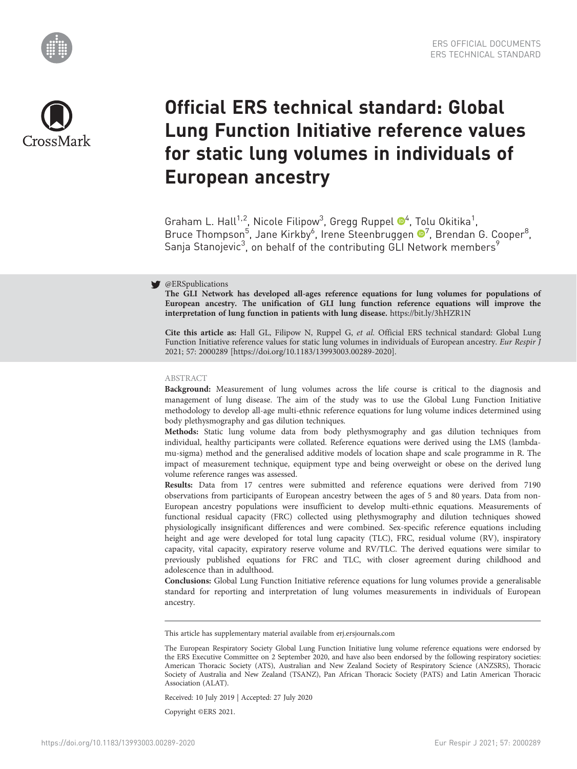



# Official ERS technical standard: Global Lung Function Initiative reference values for static lung volumes in individuals of European ancestry

Graham L. Hall<sup>1,2</sup>, Nicole Filipow<sup>3</sup>, Gregg Ruppel <sup>®4</sup>, Tolu Okitika<sup>1</sup>, Bruce Thompson<sup>5</sup>, Jane Kirkby<sup>6</sup>, Irene Steenbruggen <sup>®[7](https://orcid.org/0000-0003-1794-7682)</sup>, Brendan G. Cooper<sup>8</sup>, Sanja Stanojevic<sup>3</sup>, on behalf of the contributing GLI Network members<sup>9</sup>

# @ERSpublications

The GLI Network has developed all-ages reference equations for lung volumes for populations of European ancestry. The unification of GLI lung function reference equations will improve the interpretation of lung function in patients with lung disease. <https://bit.ly/3hHZR1N>

Cite this article as: Hall GL, Filipow N, Ruppel G, et al. Official ERS technical standard: Global Lung Function Initiative reference values for static lung volumes in individuals of European ancestry. Eur Respir J 2021; 57: 2000289 [\[https://doi.org/10.1183/13993003.00289-2020\].](https://doi.org/10.1183/13993003.00289-2020)

## ABSTRACT

Background: Measurement of lung volumes across the life course is critical to the diagnosis and management of lung disease. The aim of the study was to use the Global Lung Function Initiative methodology to develop all-age multi-ethnic reference equations for lung volume indices determined using body plethysmography and gas dilution techniques.

Methods: Static lung volume data from body plethysmography and gas dilution techniques from individual, healthy participants were collated. Reference equations were derived using the LMS (lambdamu-sigma) method and the generalised additive models of location shape and scale programme in R. The impact of measurement technique, equipment type and being overweight or obese on the derived lung volume reference ranges was assessed.

Results: Data from 17 centres were submitted and reference equations were derived from 7190 observations from participants of European ancestry between the ages of 5 and 80 years. Data from non-European ancestry populations were insufficient to develop multi-ethnic equations. Measurements of functional residual capacity (FRC) collected using plethysmography and dilution techniques showed physiologically insignificant differences and were combined. Sex-specific reference equations including height and age were developed for total lung capacity (TLC), FRC, residual volume (RV), inspiratory capacity, vital capacity, expiratory reserve volume and RV/TLC. The derived equations were similar to previously published equations for FRC and TLC, with closer agreement during childhood and adolescence than in adulthood.

Conclusions: Global Lung Function Initiative reference equations for lung volumes provide a generalisable standard for reporting and interpretation of lung volumes measurements in individuals of European ancestry.

This article has supplementary material available from<erj.ersjournals.com>

Received: 10 July 2019 | Accepted: 27 July 2020

Copyright ©ERS 2021.

The European Respiratory Society Global Lung Function Initiative lung volume reference equations were endorsed by the ERS Executive Committee on 2 September 2020, and have also been endorsed by the following respiratory societies: American Thoracic Society (ATS), Australian and New Zealand Society of Respiratory Science (ANZSRS), Thoracic Society of Australia and New Zealand (TSANZ), Pan African Thoracic Society (PATS) and Latin American Thoracic Association (ALAT).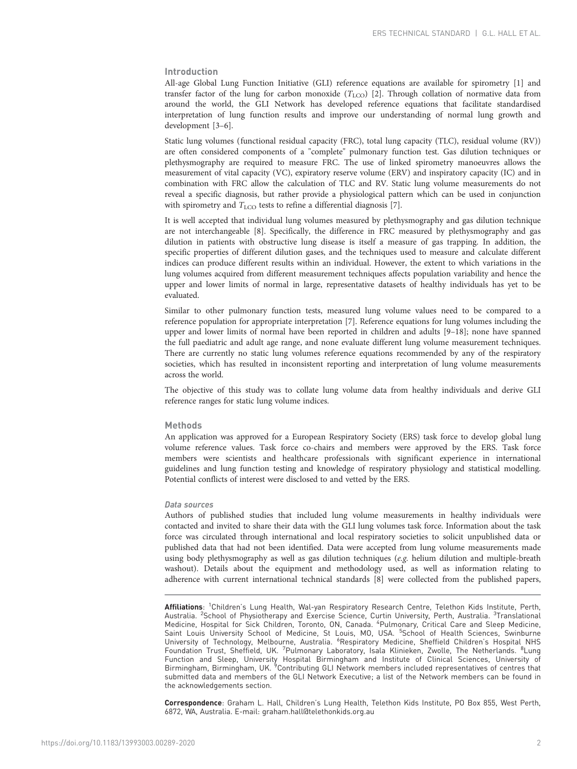# Introduction

All-age Global Lung Function Initiative (GLI) reference equations are available for spirometry [\[1\]](#page-10-0) and transfer factor of the lung for carbon monoxide  $(T_{\text{LCO}})$  [[2](#page-10-0)]. Through collation of normative data from around the world, the GLI Network has developed reference equations that facilitate standardised interpretation of lung function results and improve our understanding of normal lung growth and development [[3](#page-10-0)–[6\]](#page-10-0).

Static lung volumes (functional residual capacity (FRC), total lung capacity (TLC), residual volume (RV)) are often considered components of a "complete" pulmonary function test. Gas dilution techniques or plethysmography are required to measure FRC. The use of linked spirometry manoeuvres allows the measurement of vital capacity (VC), expiratory reserve volume (ERV) and inspiratory capacity (IC) and in combination with FRC allow the calculation of TLC and RV. Static lung volume measurements do not reveal a specific diagnosis, but rather provide a physiological pattern which can be used in conjunction with spirometry and  $T_{\text{LCO}}$  tests to refine a differential diagnosis [[7](#page-11-0)].

It is well accepted that individual lung volumes measured by plethysmography and gas dilution technique are not interchangeable [\[8\]](#page-11-0). Specifically, the difference in FRC measured by plethysmography and gas dilution in patients with obstructive lung disease is itself a measure of gas trapping. In addition, the specific properties of different dilution gases, and the techniques used to measure and calculate different indices can produce different results within an individual. However, the extent to which variations in the lung volumes acquired from different measurement techniques affects population variability and hence the upper and lower limits of normal in large, representative datasets of healthy individuals has yet to be evaluated.

Similar to other pulmonary function tests, measured lung volume values need to be compared to a reference population for appropriate interpretation [\[7\]](#page-11-0). Reference equations for lung volumes including the upper and lower limits of normal have been reported in children and adults [\[9](#page-11-0)–[18\]](#page-11-0); none have spanned the full paediatric and adult age range, and none evaluate different lung volume measurement techniques. There are currently no static lung volumes reference equations recommended by any of the respiratory societies, which has resulted in inconsistent reporting and interpretation of lung volume measurements across the world.

The objective of this study was to collate lung volume data from healthy individuals and derive GLI reference ranges for static lung volume indices.

#### Methods

An application was approved for a European Respiratory Society (ERS) task force to develop global lung volume reference values. Task force co-chairs and members were approved by the ERS. Task force members were scientists and healthcare professionals with significant experience in international guidelines and lung function testing and knowledge of respiratory physiology and statistical modelling. Potential conflicts of interest were disclosed to and vetted by the ERS.

#### Data sources

Authors of published studies that included lung volume measurements in healthy individuals were contacted and invited to share their data with the GLI lung volumes task force. Information about the task force was circulated through international and local respiratory societies to solicit unpublished data or published data that had not been identified. Data were accepted from lung volume measurements made using body plethysmography as well as gas dilution techniques (e.g. helium dilution and multiple-breath washout). Details about the equipment and methodology used, as well as information relating to adherence with current international technical standards [\[8](#page-11-0)] were collected from the published papers,

Affiliations: <sup>1</sup>Children's Lung Health, Wal-yan Respiratory Research Centre, Telethon Kids Institute, Perth, Australia. <sup>2</sup>School of Physiotherapy and Exercise Science, Curtin University, Perth, Australia. <sup>3</sup>Translational<br>Medicine, Hospital for Sick Children, Toronto, ON, Canada. <sup>4</sup>Pulmonary, Critical Care and Sleep Medicine, Saint Louis University School of Medicine, St Louis, MO, USA. <sup>5</sup>School of Health Sciences, Swinburne University of Technology, Melbourne, Australia. <sup>6</sup>Respiratory Medicine, Sheffield Children's Hospital NHS<br>Foundation Trust, Sheffield, UK. <sup>7</sup>Pulmonary Laboratory, Isala Klinieken, Zwolle, The Netherlands. <sup>8</sup>Lung Function and Sleep, University Hospital Birmingham and Institute of Clinical Sciences, University of<br>Birmingham, Birmingham, UK. <sup>9</sup>Contributing GLI Network members included representatives of centres that submitted data and members of the GLI Network Executive; a list of the Network members can be found in the acknowledgements section.

Correspondence: Graham L. Hall, Children's Lung Health, Telethon Kids Institute, PO Box 855, West Perth, 6872, WA, Australia. E-mail: [graham.hall@telethonkids.org.au](mailto:graham.hall@telethonkids.org.au)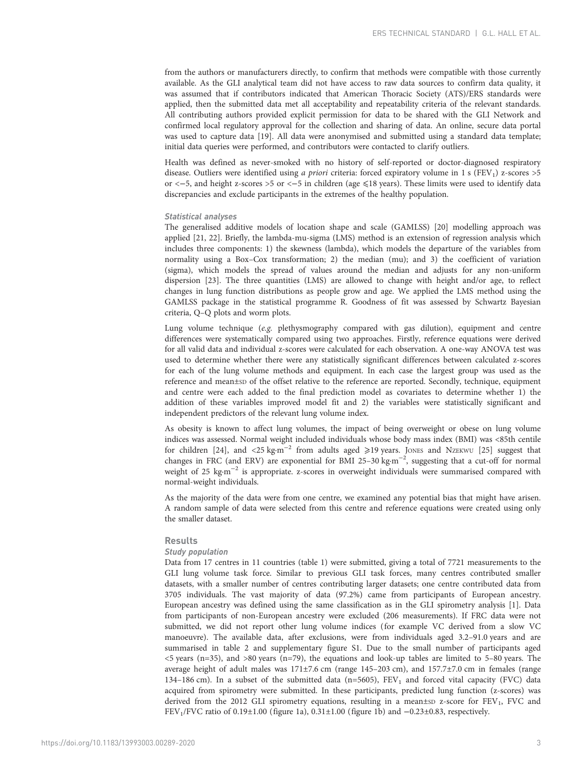from the authors or manufacturers directly, to confirm that methods were compatible with those currently available. As the GLI analytical team did not have access to raw data sources to confirm data quality, it was assumed that if contributors indicated that American Thoracic Society (ATS)/ERS standards were applied, then the submitted data met all acceptability and repeatability criteria of the relevant standards. All contributing authors provided explicit permission for data to be shared with the GLI Network and confirmed local regulatory approval for the collection and sharing of data. An online, secure data portal was used to capture data [\[19\]](#page-11-0). All data were anonymised and submitted using a standard data template; initial data queries were performed, and contributors were contacted to clarify outliers.

Health was defined as never-smoked with no history of self-reported or doctor-diagnosed respiratory disease. Outliers were identified using a priori criteria: forced expiratory volume in 1 s (FEV<sub>1</sub>) z-scores >5 or <-5, and height z-scores >5 or <-5 in children (age ≤18 years). These limits were used to identify data discrepancies and exclude participants in the extremes of the healthy population.

## Statistical analyses

The generalised additive models of location shape and scale (GAMLSS) [\[20\]](#page-11-0) modelling approach was applied [\[21, 22](#page-11-0)]. Briefly, the lambda-mu-sigma (LMS) method is an extension of regression analysis which includes three components: 1) the skewness (lambda), which models the departure of the variables from normality using a Box–Cox transformation; 2) the median (mu); and 3) the coefficient of variation (sigma), which models the spread of values around the median and adjusts for any non-uniform dispersion [[23](#page-11-0)]. The three quantities (LMS) are allowed to change with height and/or age, to reflect changes in lung function distributions as people grow and age. We applied the LMS method using the GAMLSS package in the statistical programme R. Goodness of fit was assessed by Schwartz Bayesian criteria, Q–Q plots and worm plots.

Lung volume technique  $(e.g.$  plethysmography compared with gas dilution), equipment and centre differences were systematically compared using two approaches. Firstly, reference equations were derived for all valid data and individual z-scores were calculated for each observation. A one-way ANOVA test was used to determine whether there were any statistically significant differences between calculated z-scores for each of the lung volume methods and equipment. In each case the largest group was used as the reference and mean±sp of the offset relative to the reference are reported. Secondly, technique, equipment and centre were each added to the final prediction model as covariates to determine whether 1) the addition of these variables improved model fit and 2) the variables were statistically significant and independent predictors of the relevant lung volume index.

As obesity is known to affect lung volumes, the impact of being overweight or obese on lung volume indices was assessed. Normal weight included individuals whose body mass index (BMI) was <85th centile for children [[24](#page-11-0)], and <25 kg·m−<sup>2</sup> from adults aged ⩾19 years. JONES and NZEKWU [\[25\]](#page-11-0) suggest that changes in FRC (and ERV) are exponential for BMI 25-30 kg·m<sup>-2</sup>, suggesting that a cut-off for normal weight of 25 kg·m<sup>-2</sup> is appropriate. z-scores in overweight individuals were summarised compared with normal-weight individuals.

As the majority of the data were from one centre, we examined any potential bias that might have arisen. A random sample of data were selected from this centre and reference equations were created using only the smaller dataset.

### Results

## Study population

Data from 17 centres in 11 countries ([table 1](#page-3-0)) were submitted, giving a total of 7721 measurements to the GLI lung volume task force. Similar to previous GLI task forces, many centres contributed smaller datasets, with a smaller number of centres contributing larger datasets; one centre contributed data from 3705 individuals. The vast majority of data (97.2%) came from participants of European ancestry. European ancestry was defined using the same classification as in the GLI spirometry analysis [\[1\]](#page-10-0). Data from participants of non-European ancestry were excluded (206 measurements). If FRC data were not submitted, we did not report other lung volume indices (for example VC derived from a slow VC manoeuvre). The available data, after exclusions, were from individuals aged 3.2–91.0 years and are summarised in [table 2](#page-3-0) and [supplementary figure S1.](http://erj.ersjournals.com/lookup/doi/10.1183/13993003.00289-2020.figures-only#fig-data-supplementary-materials) Due to the small number of participants aged  $\lt$ 5 years (n=35), and  $>80$  years (n=79), the equations and look-up tables are limited to 5–80 years. The average height of adult males was 171±7.6 cm (range 145–203 cm), and 157.7±7.0 cm in females (range 134–186 cm). In a subset of the submitted data ( $n=5605$ ),  $FEV<sub>1</sub>$  and forced vital capacity (FVC) data acquired from spirometry were submitted. In these participants, predicted lung function (z-scores) was derived from the 2012 GLI spirometry equations, resulting in a mean±sp z-score for  $FEV_1$ , FVC and FEV1/FVC ratio of 0.19±1.00 [\(figure 1a\)](#page-4-0), 0.31±1.00 [\(figure 1b\)](#page-4-0) and −0.23±0.83, respectively.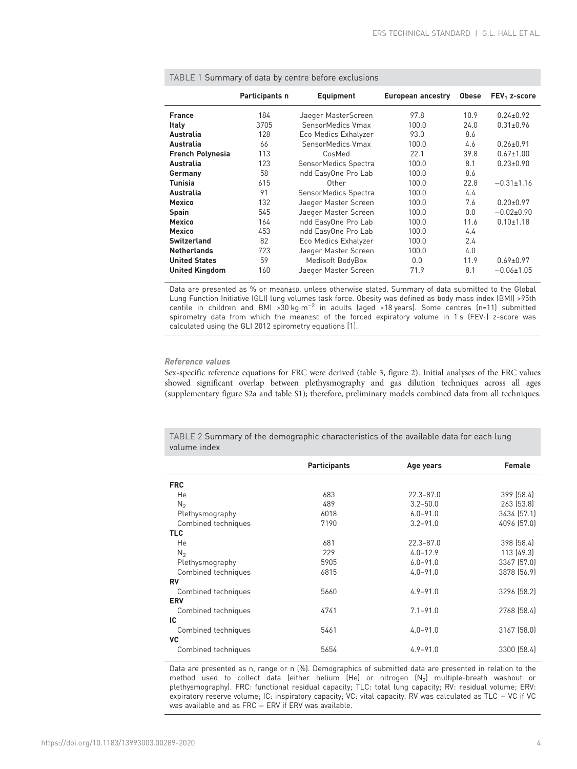| TADLE T Suffitually be data by centre before exclusions |                |                      |                   |              |                  |  |  |  |
|---------------------------------------------------------|----------------|----------------------|-------------------|--------------|------------------|--|--|--|
|                                                         | Participants n | <b>Equipment</b>     | European ancestry | <b>Obese</b> | $FEV1$ z-score   |  |  |  |
| <b>France</b>                                           | 184            | Jaeger MasterScreen  | 97.8              | 10.9         | $0.24 \pm 0.92$  |  |  |  |
| <b>Italy</b>                                            | 3705           | SensorMedics Vmax    | 100.0             | 24.0         | $0.31 \pm 0.96$  |  |  |  |
| Australia                                               | 128            | Eco Medics Exhalyzer | 93.0              | 8.6          |                  |  |  |  |
| Australia                                               | 66             | SensorMedics Vmax    | 100.0             | 4.6          | $0.26 + 0.91$    |  |  |  |
| <b>French Polynesia</b>                                 | 113            | CosMed               | 22.1              | 39.8         | $0.67 \pm 1.00$  |  |  |  |
| Australia                                               | 123            | SensorMedics Spectra | 100.0             | 8.1          | $0.23 \pm 0.90$  |  |  |  |
| Germany                                                 | 58             | ndd EasyOne Pro Lab  | 100.0             | 8.6          |                  |  |  |  |
| <b>Tunisia</b>                                          | 615            | Other                | 100.0             | 22.8         | $-0.31 \pm 1.16$ |  |  |  |
| Australia                                               | 91             | SensorMedics Spectra | 100.0             | 4.4          |                  |  |  |  |
| <b>Mexico</b>                                           | 132            | Jaeger Master Screen | 100.0             | 7.6          | $0.20 \pm 0.97$  |  |  |  |
| <b>Spain</b>                                            | 545            | Jaeger Master Screen | 100.0             | 0.0          | $-0.02\pm0.90$   |  |  |  |
| <b>Mexico</b>                                           | 164            | ndd EasyOne Pro Lab  | 100.0             | 11.6         | $0.10 \pm 1.18$  |  |  |  |
| <b>Mexico</b>                                           | 453            | ndd EasyOne Pro Lab  | 100.0             | 4.4          |                  |  |  |  |
| <b>Switzerland</b>                                      | 82             | Eco Medics Exhalyzer | 100.0             | 2.4          |                  |  |  |  |
| <b>Netherlands</b>                                      | 723            | Jaeger Master Screen | 100.0             | 4.0          |                  |  |  |  |
| <b>United States</b>                                    | 59             | Medisoft BodyBox     | 0.0               | 11.9         | $0.69 \pm 0.97$  |  |  |  |
| <b>United Kingdom</b>                                   | 160            | Jaeger Master Screen | 71.9              | 8.1          | $-0.06 \pm 1.05$ |  |  |  |

<span id="page-3-0"></span> $T$ ABLE 1  $\mathcal{C}$ ummary of data by centre before exclusions

Data are presented as % or mean±SD, unless otherwise stated. Summary of data submitted to the Global Lung Function Initiative (GLI) lung volumes task force. Obesity was defined as body mass index (BMI) >95th centile in children and BMI >30 kg·m−<sup>2</sup> in adults (aged >18 years). Some centres (n=11) submitted spirometry data from which the mean±sD of the forced expiratory volume in 1 s (FEV<sub>1</sub>) z-score was calculated using the GLI 2012 spirometry equations [1].

# Reference values

Sex-specific reference equations for FRC were derived ([table 3,](#page-4-0) [figure 2\)](#page-5-0). Initial analyses of the FRC values showed significant overlap between plethysmography and gas dilution techniques across all ages [\(supplementary figure S2a and table S1](http://erj.ersjournals.com/lookup/doi/10.1183/13993003.00289-2020.figures-only#fig-data-supplementary-materials)); therefore, preliminary models combined data from all techniques.

TABLE 2 Summary of the demographic characteristics of the available data for each lung volume index

|                     | <b>Participants</b> | Age years     | <b>Female</b> |
|---------------------|---------------------|---------------|---------------|
| <b>FRC</b>          |                     |               |               |
| He                  | 683                 | $22.3 - 87.0$ | 399 (58.4)    |
| N <sub>2</sub>      | 489                 | $3.2 - 50.0$  | 263 [53.8]    |
| Plethysmography     | 6018                | $6.0 - 91.0$  | 3434 (57.1)   |
| Combined techniques | 7190                | $3.2 - 91.0$  | 4096 (57.0)   |
| <b>TLC</b>          |                     |               |               |
| He                  | 681                 | $22.3 - 87.0$ | 398 (58.4)    |
| N <sub>2</sub>      | 229                 | $4.0 - 12.9$  | 113 (49.3)    |
| Plethysmography     | 5905                | $6.0 - 91.0$  | 3367 (57.0)   |
| Combined techniques | 6815                | $4.0 - 91.0$  | 3878 (56.9)   |
| <b>RV</b>           |                     |               |               |
| Combined techniques | 5660                | $4.9 - 91.0$  | 3296 (58.2)   |
| <b>ERV</b>          |                     |               |               |
| Combined techniques | 4741                | $7.1 - 91.0$  | 2768 (58.4)   |
| IC                  |                     |               |               |
| Combined techniques | 5461                | $4.0 - 91.0$  | 3167 (58.0)   |
| <b>VC</b>           |                     |               |               |
| Combined techniques | 5654                | $4.9 - 91.0$  | 3300 (58.4)   |

Data are presented as n, range or n (%). Demographics of submitted data are presented in relation to the method used to collect data (either helium (He) or nitrogen (N2) multiple-breath washout or plethysmography). FRC: functional residual capacity; TLC: total lung capacity; RV: residual volume; ERV: expiratory reserve volume; IC: inspiratory capacity; VC: vital capacity. RV was calculated as TLC − VC if VC was available and as FRC – ERV if ERV was available.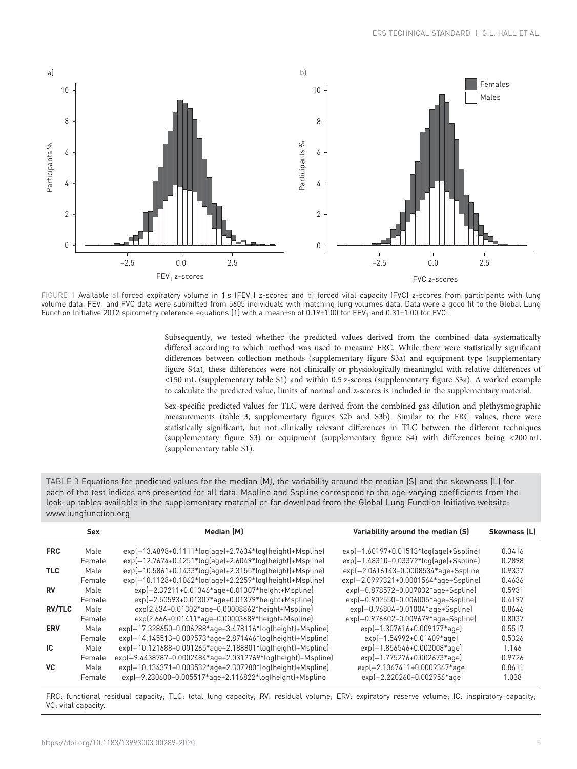<span id="page-4-0"></span>

FIGURE 1 Available a) forced expiratory volume in 1 s (FEV<sub>1</sub>) z-scores and b) forced vital capacity (FVC) z-scores from participants with lung volume data. FEV<sub>1</sub> and FVC data were submitted from 5605 individuals with matching lung volumes data. Data were a good fit to the Global Lung Function Initiative 2012 spirometry reference equations [\[1](#page-10-0)] with a mean±sp of 0.19±1.00 for FEV<sub>1</sub> and 0.31±1.00 for FVC.

Subsequently, we tested whether the predicted values derived from the combined data systematically differed according to which method was used to measure FRC. While there were statistically significant differences between collection methods ([supplementary figure S3a](http://erj.ersjournals.com/lookup/doi/10.1183/13993003.00289-2020.figures-only#fig-data-supplementary-materials)) and equipment type [\(supplementary](http://erj.ersjournals.com/lookup/doi/10.1183/13993003.00289-2020.figures-only#fig-data-supplementary-materials) [figure S4a\)](http://erj.ersjournals.com/lookup/doi/10.1183/13993003.00289-2020.figures-only#fig-data-supplementary-materials), these differences were not clinically or physiologically meaningful with relative differences of <150 mL [\(supplementary table S1](http://erj.ersjournals.com/lookup/doi/10.1183/13993003.00289-2020.figures-only#fig-data-supplementary-materials)) and within 0.5 z-scores ([supplementary figure S3a](http://erj.ersjournals.com/lookup/doi/10.1183/13993003.00289-2020.figures-only#fig-data-supplementary-materials)). A worked example to calculate the predicted value, limits of normal and z-scores is included in the [supplementary material](http://erj.ersjournals.com/lookup/doi/10.1183/13993003.00289-2020.figures-only#fig-data-supplementary-materials).

Sex-specific predicted values for TLC were derived from the combined gas dilution and plethysmographic measurements (table 3, [supplementary figures S2b and S3b](http://erj.ersjournals.com/lookup/doi/10.1183/13993003.00289-2020.figures-only#fig-data-supplementary-materials)). Similar to the FRC values, there were statistically significant, but not clinically relevant differences in TLC between the different techniques [\(supplementary figure S3](http://erj.ersjournals.com/lookup/doi/10.1183/13993003.00289-2020.figures-only#fig-data-supplementary-materials)) or equipment ([supplementary figure S4\)](http://erj.ersjournals.com/lookup/doi/10.1183/13993003.00289-2020.figures-only#fig-data-supplementary-materials) with differences being <200 mL [\(supplementary table S1\)](http://erj.ersjournals.com/lookup/doi/10.1183/13993003.00289-2020.figures-only#fig-data-supplementary-materials).

| TABLE 3 Equations for predicted values for the median $(M)$ , the variability around the median $(S)$ and the skewness $(L)$ for |
|----------------------------------------------------------------------------------------------------------------------------------|
| each of the test indices are presented for all data. Mspline and Sspline correspond to the age-varying coefficients from the     |
| look-up tables available in the supplementary material or for download from the Global Lung Function Initiative website:         |
| www.lungfunction.org                                                                                                             |

|               | <b>Sex</b> | <b>Median (M)</b>                                           | Variability around the median (S)           | <b>Skewness (L)</b> |
|---------------|------------|-------------------------------------------------------------|---------------------------------------------|---------------------|
| <b>FRC</b>    | Male       | $exp[-13.4898+0.1111*log[age]+2.7634*log[height]+Msplit]$   | $exp[-1.60197 + 0.01513*log[age] + Ssplit]$ | 0.3416              |
|               | Female     | $exp[-12.7674+0.1251*log[age]+2.6049*log[height]+Msplit]$   | $exp[-1.48310 - 0.03372*log[age]+Ssplit]$   | 0.2898              |
| TLC.          | Male       | $exp(-10.5861+0.1433*log[age]+2.3155*log[height]+Msplit]$   | exp(-2.0616143-0.0008534*age+Sspline        | 0.9337              |
|               | Female     | $exp[-10.1128 + 0.1062*log[age]+2.2259*log[height]+Msplit]$ | exp(-2.0999321+0.0001564*age+Sspline)       | 0.4636              |
| RV            | Male       | exp(-2.37211+0.01346*age+0.01307*height+Mspline)            | exp(-0.878572-0.007032*age+Sspline)         | 0.5931              |
|               | Female     | exp(-2.50593+0.01307*age+0.01379*height+Mspline)            | exp(-0.902550-0.006005*age+Sspline)         | 0.4197              |
| <b>RV/TLC</b> | Male       | exp(2.634+0.01302*age-0.00008862*height+Mspline)            | exp(-0.96804-0.01004*age+Sspline)           | 0.8646              |
|               | Female     | exp(2.666+0.01411*age-0.00003689*height+Mspline)            | exp(-0.976602-0.009679*age+Sspline)         | 0.8037              |
| <b>ERV</b>    | Male       | exp(-17.328650-0.006288*age+3.478116*log(height)+Mspline)   | exp(-1.307616+0.009177*age)                 | 0.5517              |
|               | Female     | exp(-14.145513-0.009573*age+2.871446*log(height)+Mspline)   | exp(-1.54992+0.01409*age)                   | 0.5326              |
| IC.           | Male       | exp(-10.121688+0.001265*age+2.188801*log(height)+Mspline)   | exp(-1.856546+0.002008*age)                 | 1.146               |
|               | Female     | exp(-9.4438787-0.0002484*age+2.0312769*log(height)+Mspline) | exp(-1.775276+0.002673*age)                 | 0.9726              |
| <b>VC</b>     | Male       | exp(-10.134371-0.003532*age+2.307980*log(height)+Mspline)   | exp(-2.1367411+0.0009367*age                | 0.8611              |
|               | Female     | exp(-9.230600-0.005517*age+2.116822*log(height)+Mspline     | exp(-2.220260+0.002956*age                  | 1.038               |

FRC: functional residual capacity; TLC: total lung capacity; RV: residual volume; ERV: expiratory reserve volume; IC: inspiratory capacity; VC: vital capacity.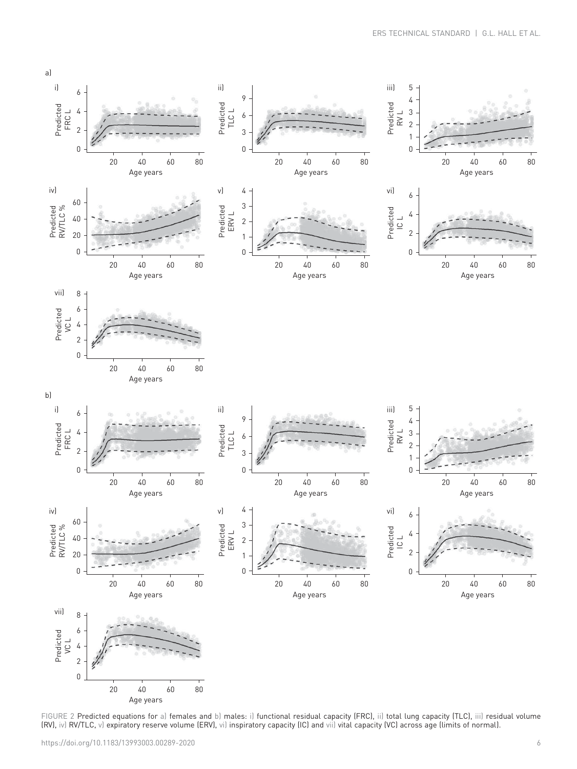<span id="page-5-0"></span>![](_page_5_Figure_1.jpeg)

FIGURE 2 Predicted equations for a) females and b) males: i) functional residual capacity (FRC), ii) total lung capacity (TLC), iii) residual volume (RV), iv) RV/TLC, v) expiratory reserve volume (ERV), vi) inspiratory capacity (IC) and vii) vital capacity (VC) across age (limits of normal).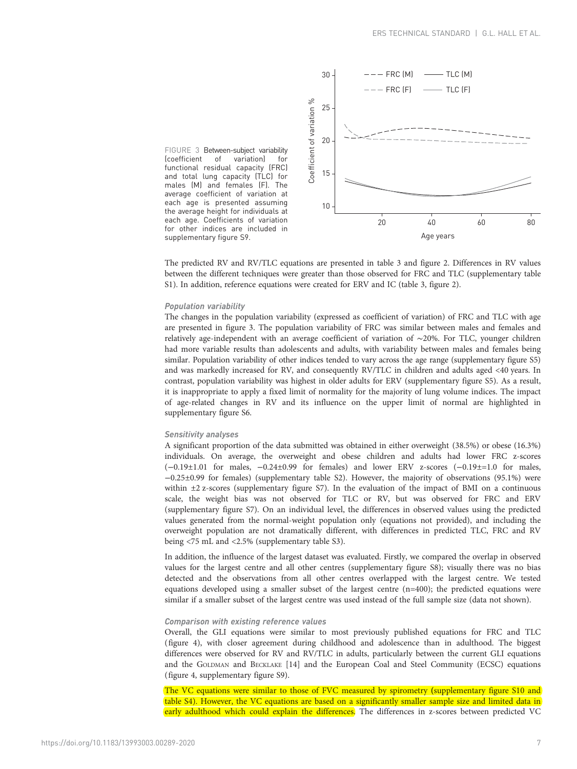![](_page_6_Figure_1.jpeg)

FIGURE 3 Between-subject variability<br>(coefficient of variation) for (coefficient of variation) for functional residual capacity (FRC) and total lung capacity (TLC) for males (M) and females (F). The average coefficient of variation at each age is presented assuming the average height for individuals at each age. Coefficients of variation for other indices are included in [supplementary figure S9.](http://erj.ersjournals.com/lookup/doi/10.1183/13993003.00289-2020.figures-only#fig-data-supplementary-materials)

The predicted RV and RV/TLC equations are presented in [table 3](#page-4-0) and [figure 2](#page-5-0). Differences in RV values between the different techniques were greater than those observed for FRC and TLC [\(supplementary table](http://erj.ersjournals.com/lookup/doi/10.1183/13993003.00289-2020.figures-only#fig-data-supplementary-materials) [S1\)](http://erj.ersjournals.com/lookup/doi/10.1183/13993003.00289-2020.figures-only#fig-data-supplementary-materials). In addition, reference equations were created for ERV and IC [\(table 3,](#page-4-0) [figure 2\)](#page-5-0).

#### Population variability

The changes in the population variability (expressed as coefficient of variation) of FRC and TLC with age are presented in figure 3. The population variability of FRC was similar between males and females and relatively age-independent with an average coefficient of variation of ∼20%. For TLC, younger children had more variable results than adolescents and adults, with variability between males and females being similar. Population variability of other indices tended to vary across the age range ([supplementary figure S5](http://erj.ersjournals.com/lookup/doi/10.1183/13993003.00289-2020.figures-only#fig-data-supplementary-materials)) and was markedly increased for RV, and consequently RV/TLC in children and adults aged <40 years. In contrast, population variability was highest in older adults for ERV ([supplementary figure S5](http://erj.ersjournals.com/lookup/doi/10.1183/13993003.00289-2020.figures-only#fig-data-supplementary-materials)). As a result, it is inappropriate to apply a fixed limit of normality for the majority of lung volume indices. The impact of age-related changes in RV and its influence on the upper limit of normal are highlighted in [supplementary figure S6.](http://erj.ersjournals.com/lookup/doi/10.1183/13993003.00289-2020.figures-only#fig-data-supplementary-materials)

# Sensitivity analyses

A significant proportion of the data submitted was obtained in either overweight (38.5%) or obese (16.3%) individuals. On average, the overweight and obese children and adults had lower FRC z-scores (−0.19±1.01 for males, −0.24±0.99 for females) and lower ERV z-scores (−0.19±=1.0 for males, −0.25±0.99 for females) ([supplementary table S2\)](http://erj.ersjournals.com/lookup/doi/10.1183/13993003.00289-2020.figures-only#fig-data-supplementary-materials). However, the majority of observations (95.1%) were within  $\pm 2$  z-scores [\(supplementary figure S7\)](http://erj.ersjournals.com/lookup/doi/10.1183/13993003.00289-2020.figures-only#fig-data-supplementary-materials). In the evaluation of the impact of BMI on a continuous scale, the weight bias was not observed for TLC or RV, but was observed for FRC and ERV [\(supplementary figure S7\)](http://erj.ersjournals.com/lookup/doi/10.1183/13993003.00289-2020.figures-only#fig-data-supplementary-materials). On an individual level, the differences in observed values using the predicted values generated from the normal-weight population only (equations not provided), and including the overweight population are not dramatically different, with differences in predicted TLC, FRC and RV being <75 mL and <2.5% [\(supplementary table S3](http://erj.ersjournals.com/lookup/doi/10.1183/13993003.00289-2020.figures-only#fig-data-supplementary-materials)).

In addition, the influence of the largest dataset was evaluated. Firstly, we compared the overlap in observed values for the largest centre and all other centres ([supplementary figure S8\)](http://erj.ersjournals.com/lookup/doi/10.1183/13993003.00289-2020.figures-only#fig-data-supplementary-materials); visually there was no bias detected and the observations from all other centres overlapped with the largest centre. We tested equations developed using a smaller subset of the largest centre (n=400); the predicted equations were similar if a smaller subset of the largest centre was used instead of the full sample size (data not shown).

## Comparison with existing reference values

Overall, the GLI equations were similar to most previously published equations for FRC and TLC [\(figure 4\)](#page-7-0), with closer agreement during childhood and adolescence than in adulthood. The biggest differences were observed for RV and RV/TLC in adults, particularly between the current GLI equations and the GOLDMAN and BECKLAKE [\[14\]](#page-11-0) and the European Coal and Steel Community (ECSC) equations [\(figure 4](#page-7-0), [supplementary figure S9\)](http://erj.ersjournals.com/lookup/doi/10.1183/13993003.00289-2020.figures-only#fig-data-supplementary-materials).

The VC equations were similar to those of FVC measured by spirometry ([supplementary figure S10 and](http://erj.ersjournals.com/lookup/doi/10.1183/13993003.00289-2020.figures-only#fig-data-supplementary-materials) [table S4\)](http://erj.ersjournals.com/lookup/doi/10.1183/13993003.00289-2020.figures-only#fig-data-supplementary-materials). However, the VC equations are based on a significantly smaller sample size and limited data in early adulthood which could explain the differences. The differences in z-scores between predicted VC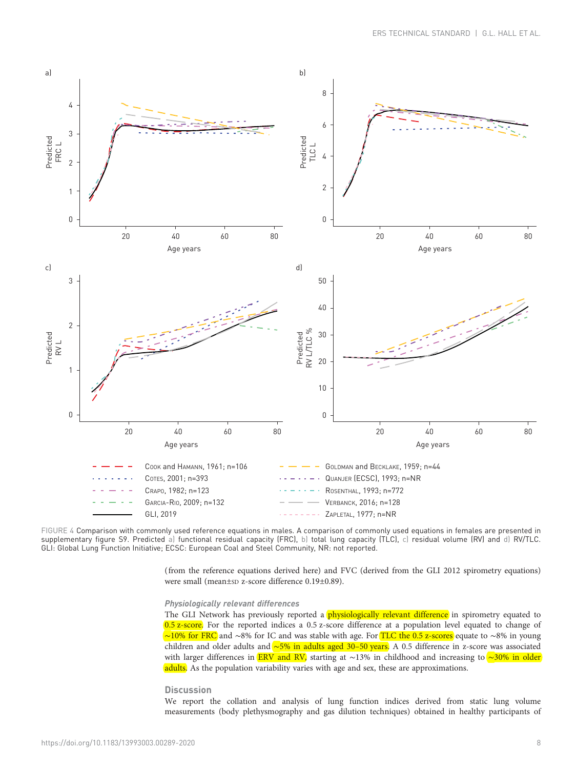<span id="page-7-0"></span>![](_page_7_Figure_1.jpeg)

FIGURE 4 Comparison with commonly used reference equations in males. A comparison of commonly used equations in females are presented in [supplementary figure S9](http://erj.ersjournals.com/lookup/doi/10.1183/13993003.00289-2020.figures-only#fig-data-supplementary-materials). Predicted a) functional residual capacity (FRC), b) total lung capacity (TLC), c) residual volume (RV) and d) RV/TLC. GLI: Global Lung Function Initiative; ECSC: European Coal and Steel Community, NR: not reported.

> (from the reference equations derived here) and FVC (derived from the GLI 2012 spirometry equations) were small (mean±sp z-score difference 0.19±0.89).

#### Physiologically relevant differences

The GLI Network has previously reported a *physiologically relevant difference* in spirometry equated to 0.5 z-score. For the reported indices a 0.5 z-score difference at a population level equated to change of ∼10% for FRC and ∼8% for IC and was stable with age. For TLC the 0.5 z-scores equate to ∼8% in young children and older adults and ∼5% in adults aged 30–50 years. A 0.5 difference in z-score was associated with larger differences in ERV and RV, starting at ∼13% in childhood and increasing to ∼30% in older adults. As the population variability varies with age and sex, these are approximations.

## **Discussion**

We report the collation and analysis of lung function indices derived from static lung volume measurements (body plethysmography and gas dilution techniques) obtained in healthy participants of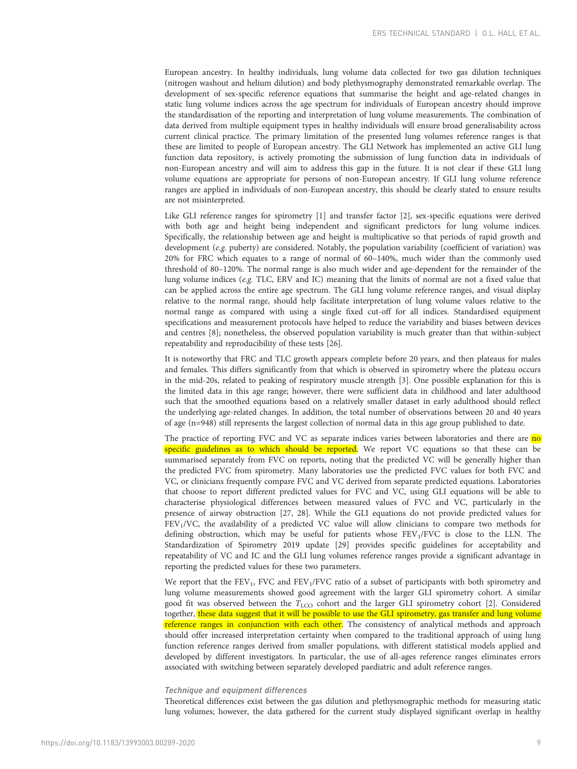European ancestry. In healthy individuals, lung volume data collected for two gas dilution techniques (nitrogen washout and helium dilution) and body plethysmography demonstrated remarkable overlap. The development of sex-specific reference equations that summarise the height and age-related changes in static lung volume indices across the age spectrum for individuals of European ancestry should improve the standardisation of the reporting and interpretation of lung volume measurements. The combination of data derived from multiple equipment types in healthy individuals will ensure broad generalisability across current clinical practice. The primary limitation of the presented lung volumes reference ranges is that these are limited to people of European ancestry. The GLI Network has implemented an active GLI lung function data repository, is actively promoting the submission of lung function data in individuals of non-European ancestry and will aim to address this gap in the future. It is not clear if these GLI lung volume equations are appropriate for persons of non-European ancestry. If GLI lung volume reference ranges are applied in individuals of non-European ancestry, this should be clearly stated to ensure results are not misinterpreted.

Like GLI reference ranges for spirometry [\[1\]](#page-10-0) and transfer factor [\[2\]](#page-10-0), sex-specific equations were derived with both age and height being independent and significant predictors for lung volume indices. Specifically, the relationship between age and height is multiplicative so that periods of rapid growth and development (e.g. puberty) are considered. Notably, the population variability (coefficient of variation) was 20% for FRC which equates to a range of normal of 60–140%, much wider than the commonly used threshold of 80–120%. The normal range is also much wider and age-dependent for the remainder of the lung volume indices (e.g. TLC, ERV and IC) meaning that the limits of normal are not a fixed value that can be applied across the entire age spectrum. The GLI lung volume reference ranges, and visual display relative to the normal range, should help facilitate interpretation of lung volume values relative to the normal range as compared with using a single fixed cut-off for all indices. Standardised equipment specifications and measurement protocols have helped to reduce the variability and biases between devices and centres [[8\]](#page-11-0); nonetheless, the observed population variability is much greater than that within-subject repeatability and reproducibility of these tests [\[26\]](#page-11-0).

It is noteworthy that FRC and TLC growth appears complete before 20 years, and then plateaus for males and females. This differs significantly from that which is observed in spirometry where the plateau occurs in the mid-20s, related to peaking of respiratory muscle strength [[3](#page-10-0)]. One possible explanation for this is the limited data in this age range; however, there were sufficient data in childhood and later adulthood such that the smoothed equations based on a relatively smaller dataset in early adulthood should reflect the underlying age-related changes. In addition, the total number of observations between 20 and 40 years of age (n=948) still represents the largest collection of normal data in this age group published to date.

The practice of reporting FVC and VC as separate indices varies between laboratories and there are no specific guidelines as to which should be reported. We report VC equations so that these can be summarised separately from FVC on reports, noting that the predicted VC will be generally higher than the predicted FVC from spirometry. Many laboratories use the predicted FVC values for both FVC and VC, or clinicians frequently compare FVC and VC derived from separate predicted equations. Laboratories that choose to report different predicted values for FVC and VC, using GLI equations will be able to characterise physiological differences between measured values of FVC and VC, particularly in the presence of airway obstruction [\[27, 28](#page-11-0)]. While the GLI equations do not provide predicted values for FEV1/VC, the availability of a predicted VC value will allow clinicians to compare two methods for defining obstruction, which may be useful for patients whose  $FEV<sub>1</sub>/FVC$  is close to the LLN. The Standardization of Spirometry 2019 update [[29\]](#page-11-0) provides specific guidelines for acceptability and repeatability of VC and IC and the GLI lung volumes reference ranges provide a significant advantage in reporting the predicted values for these two parameters.

We report that the  $FEV_1$ , FVC and  $FEV_1$ /FVC ratio of a subset of participants with both spirometry and lung volume measurements showed good agreement with the larger GLI spirometry cohort. A similar good fit was observed between the  $T_{\text{LCO}}$  cohort and the larger GLI spirometry cohort [\[2\]](#page-10-0). Considered together, these data suggest that it will be possible to use the GLI spirometry, gas transfer and lung volume reference ranges in conjunction with each other. The consistency of analytical methods and approach should offer increased interpretation certainty when compared to the traditional approach of using lung function reference ranges derived from smaller populations, with different statistical models applied and developed by different investigators. In particular, the use of all-ages reference ranges eliminates errors associated with switching between separately developed paediatric and adult reference ranges.

#### Technique and equipment differences

Theoretical differences exist between the gas dilution and plethysmographic methods for measuring static lung volumes; however, the data gathered for the current study displayed significant overlap in healthy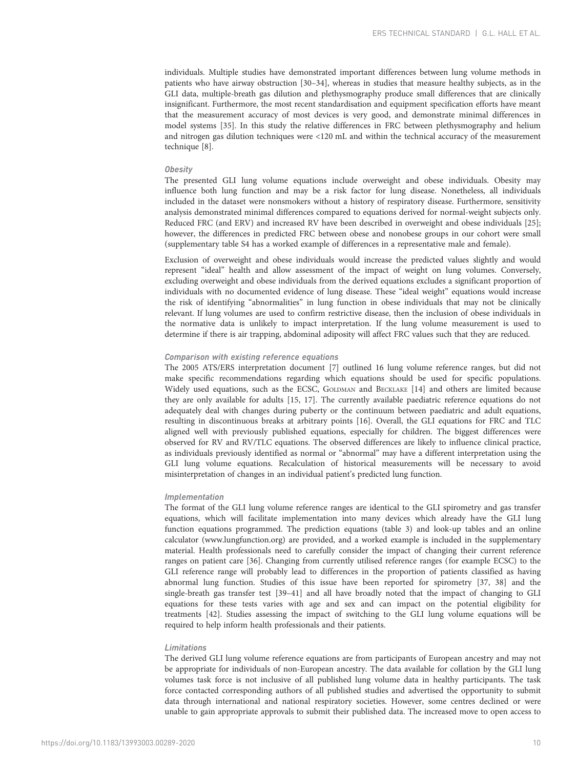individuals. Multiple studies have demonstrated important differences between lung volume methods in patients who have airway obstruction [\[30](#page-11-0)–[34\]](#page-11-0), whereas in studies that measure healthy subjects, as in the GLI data, multiple-breath gas dilution and plethysmography produce small differences that are clinically insignificant. Furthermore, the most recent standardisation and equipment specification efforts have meant that the measurement accuracy of most devices is very good, and demonstrate minimal differences in model systems [\[35](#page-11-0)]. In this study the relative differences in FRC between plethysmography and helium and nitrogen gas dilution techniques were <120 mL and within the technical accuracy of the measurement technique [\[8](#page-11-0)].

#### **Obesity**

The presented GLI lung volume equations include overweight and obese individuals. Obesity may influence both lung function and may be a risk factor for lung disease. Nonetheless, all individuals included in the dataset were nonsmokers without a history of respiratory disease. Furthermore, sensitivity analysis demonstrated minimal differences compared to equations derived for normal-weight subjects only. Reduced FRC (and ERV) and increased RV have been described in overweight and obese individuals [[25](#page-11-0)]; however, the differences in predicted FRC between obese and nonobese groups in our cohort were small [\(supplementary table S4](http://erj.ersjournals.com/lookup/doi/10.1183/13993003.00289-2020.figures-only#fig-data-supplementary-materials) has a worked example of differences in a representative male and female).

Exclusion of overweight and obese individuals would increase the predicted values slightly and would represent "ideal" health and allow assessment of the impact of weight on lung volumes. Conversely, excluding overweight and obese individuals from the derived equations excludes a significant proportion of individuals with no documented evidence of lung disease. These "ideal weight" equations would increase the risk of identifying "abnormalities" in lung function in obese individuals that may not be clinically relevant. If lung volumes are used to confirm restrictive disease, then the inclusion of obese individuals in the normative data is unlikely to impact interpretation. If the lung volume measurement is used to determine if there is air trapping, abdominal adiposity will affect FRC values such that they are reduced.

# Comparison with existing reference equations

The 2005 ATS/ERS interpretation document [[7](#page-11-0)] outlined 16 lung volume reference ranges, but did not make specific recommendations regarding which equations should be used for specific populations. Widely used equations, such as the ECSC, GOLDMAN and BECKLAKE [[14](#page-11-0)] and others are limited because they are only available for adults [[15](#page-11-0), [17\]](#page-11-0). The currently available paediatric reference equations do not adequately deal with changes during puberty or the continuum between paediatric and adult equations, resulting in discontinuous breaks at arbitrary points [\[16\]](#page-11-0). Overall, the GLI equations for FRC and TLC aligned well with previously published equations, especially for children. The biggest differences were observed for RV and RV/TLC equations. The observed differences are likely to influence clinical practice, as individuals previously identified as normal or "abnormal" may have a different interpretation using the GLI lung volume equations. Recalculation of historical measurements will be necessary to avoid misinterpretation of changes in an individual patient's predicted lung function.

#### Implementation

The format of the GLI lung volume reference ranges are identical to the GLI spirometry and gas transfer equations, which will facilitate implementation into many devices which already have the GLI lung function equations programmed. The prediction equations [\(table 3\)](#page-4-0) and look-up tables and an online calculator [\(www.lungfunction.org\)](http://www.lungfunction.org) are provided, and a worked example is included in the [supplementary](http://erj.ersjournals.com/lookup/doi/10.1183/13993003.00289-2020.figures-only#fig-data-supplementary-materials) [material](http://erj.ersjournals.com/lookup/doi/10.1183/13993003.00289-2020.figures-only#fig-data-supplementary-materials). Health professionals need to carefully consider the impact of changing their current reference ranges on patient care [\[36](#page-11-0)]. Changing from currently utilised reference ranges (for example ECSC) to the GLI reference range will probably lead to differences in the proportion of patients classified as having abnormal lung function. Studies of this issue have been reported for spirometry [[37](#page-11-0), [38](#page-11-0)] and the single-breath gas transfer test [\[39](#page-11-0)–[41](#page-11-0)] and all have broadly noted that the impact of changing to GLI equations for these tests varies with age and sex and can impact on the potential eligibility for treatments [[42](#page-11-0)]. Studies assessing the impact of switching to the GLI lung volume equations will be required to help inform health professionals and their patients.

#### Limitations

The derived GLI lung volume reference equations are from participants of European ancestry and may not be appropriate for individuals of non-European ancestry. The data available for collation by the GLI lung volumes task force is not inclusive of all published lung volume data in healthy participants. The task force contacted corresponding authors of all published studies and advertised the opportunity to submit data through international and national respiratory societies. However, some centres declined or were unable to gain appropriate approvals to submit their published data. The increased move to open access to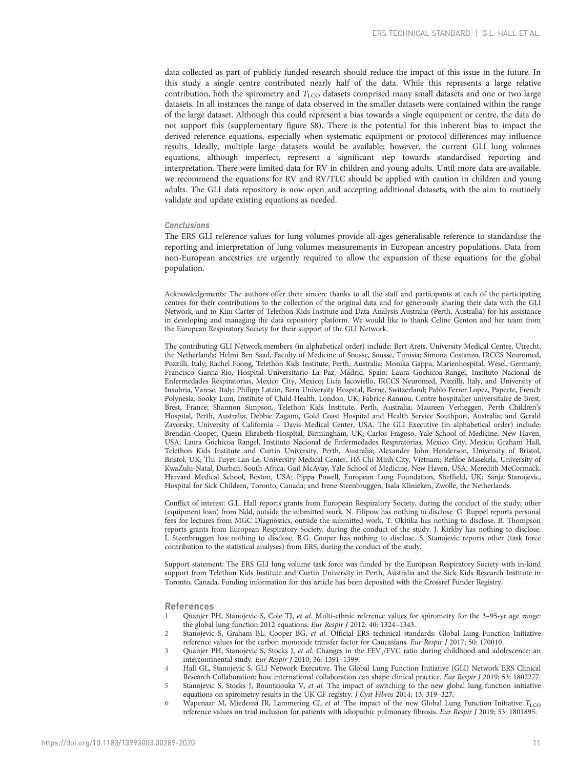<span id="page-10-0"></span>data collected as part of publicly funded research should reduce the impact of this issue in the future. In this study a single centre contributed nearly half of the data. While this represents a large relative contribution, both the spirometry and  $T_{\text{LCO}}$  datasets comprised many small datasets and one or two large datasets. In all instances the range of data observed in the smaller datasets were contained within the range of the large dataset. Although this could represent a bias towards a single equipment or centre, the data do not support this [\(supplementary figure S8\)](http://erj.ersjournals.com/lookup/doi/10.1183/13993003.00289-2020.figures-only#fig-data-supplementary-materials). There is the potential for this inherent bias to impact the derived reference equations, especially when systematic equipment or protocol differences may influence results. Ideally, multiple large datasets would be available; however, the current GLI lung volumes equations, although imperfect, represent a significant step towards standardised reporting and interpretation. There were limited data for RV in children and young adults. Until more data are available, we recommend the equations for RV and RV/TLC should be applied with caution in children and young adults. The GLI data repository is now open and accepting additional datasets, with the aim to routinely validate and update existing equations as needed.

#### Conclusions

The ERS GLI reference values for lung volumes provide all-ages generalisable reference to standardise the reporting and interpretation of lung volumes measurements in European ancestry populations. Data from non-European ancestries are urgently required to allow the expansion of these equations for the global population.

Acknowledgements: The authors offer their sincere thanks to all the staff and participants at each of the participating centres for their contributions to the collection of the original data and for generously sharing their data with the GLI Network, and to Kim Carter of Telethon Kids Institute and Data Analysis Australia (Perth, Australia) for his assistance in developing and managing the data repository platform. We would like to thank Celine Genton and her team from the European Respiratory Society for their support of the GLI Network.

The contributing GLI Network members (in alphabetical order) include: Bert Arets, University Medical Centre, Utrecht, the Netherlands; Helmi Ben Saad, Faculty of Medicine of Sousse, Sousse, Tunisia; Simona Costanzo, IRCCS Neuromed, Pozzilli, Italy; Rachel Foong, Telethon Kids Institute, Perth, Australia; Monika Gappa, Marienhospital, Wesel, Germany; Francisco Garcia-Rio, Hospital Universitario La Paz, Madrid, Spain; Laura Gochicoa-Rangel, Instituto Nacional de Enfermedades Respiratorias, Mexico City, Mexico; Licia Iacoviello, IRCCS Neuromed, Pozzilli, Italy, and University of Insubria, Varese, Italy; Philipp Latzin, Bern University Hospital, Berne, Switzerland; Pablo Ferrer Lopez, Papeete, French Polynesia; Sooky Lum, Institute of Child Health, London, UK; Fabrice Rannou, Centre hospitalier universitaire de Brest, Brest, France; Shannon Simpson, Telethon Kids Institute, Perth, Australia; Maureen Verheggen, Perth Children's Hospital, Perth, Australia; Debbie Zagami, Gold Coast Hospital and Health Service Southport, Australia; and Gerald Zavorsky, University of California – Davis Medical Center, USA. The GLI Executive (in alphabetical order) include: Brendan Cooper, Queen Elizabeth Hospital, Birmingham, UK; Carlos Fragoso, Yale School of Medicine, New Haven, USA; Laura Gochicoa Rangel, Instituto Nacional de Enfermedades Respiratorias, Mexico City, Mexico; Graham Hall, Telethon Kids Institute and Curtin University, Perth, Australia; Alexander John Henderson, University of Bristol, Bristol, UK; Thi Tuyet Lan Le, University Medical Center, Hồ Chí Minh City, Vietnam; Refiloe Masekela, University of KwaZulu-Natal, Durban, South Africa; Gail McAvay, Yale School of Medicine, New Haven, USA; Meredith McCormack, Harvard Medical School, Boston, USA; Pippa Powell, European Lung Foundation, Sheffield, UK; Sanja Stanojevic, Hospital for Sick Children, Toronto, Canada; and Irene Steenbruggen, Isala Klinieken, Zwolle, the Netherlands.

Conflict of interest: G.L. Hall reports grants from European Respiratory Society, during the conduct of the study; other (equipment loan) from Ndd, outside the submitted work. N. Filipow has nothing to disclose. G. Ruppel reports personal fees for lectures from MGC Diagnostics, outside the submitted work. T. Okitika has nothing to disclose. B. Thompson reports grants from European Respiratory Society, during the conduct of the study. J. Kirkby has nothing to disclose. I. Steenbruggen has nothing to disclose. B.G. Cooper has nothing to disclose. S. Stanojevic reports other (task force contribution to the statistical analyses) from ERS, during the conduct of the study.

Support statement: The ERS GLI lung volume task force was funded by the European Respiratory Society with in-kind support from Telethon Kids Institute and Curtin University in Perth, Australia and the Sick Kids Research Institute in Toronto, Canada. Funding information for this article has been deposited with the [Crossref Funder Registry](https://www.crossref.org/services/funder-registry/).

#### References

- 1 Quanjer PH, Stanojevic S, Cole TJ, et al. Multi-ethnic reference values for spirometry for the 3–95-yr age range: the global lung function 2012 equations. Eur Respir J 2012; 40: 1324–1343.
- 2 Stanojevic S, Graham BL, Cooper BG, et al. Official ERS technical standards: Global Lung Function Initiative reference values for the carbon monoxide transfer factor for Caucasians. Eur Respir J 2017; 50: 170010.
- 3 Quanjer PH, Stanojevic S, Stocks J, et al. Changes in the FEV<sub>1</sub>/FVC ratio during childhood and adolescence: an intercontinental study. Eur Respir J 2010; 36: 1391–1399.
- 4 Hall GL, Stanojevic S, GLI Network Executive. The Global Lung Function Initiative (GLI) Network ERS Clinical Research Collaboration: how international collaboration can shape clinical practice. Eur Respir J 2019; 53: 1802277. 5 Stanojevic S, Stocks J, Bountziouka V, et al. The impact of switching to the new global lung function initiative
- equations on spirometry results in the UK CF registry. J Cyst Fibros 2014; 13: 319–327.
- 6 Wapenaar M, Miedema JR, Lammering CJ, et al. The impact of the new Global Lung Function Initiative  $T_{\rm LCO}$ reference values on trial inclusion for patients with idiopathic pulmonary fibrosis. Eur Respir J 2019; 53: 1801895.